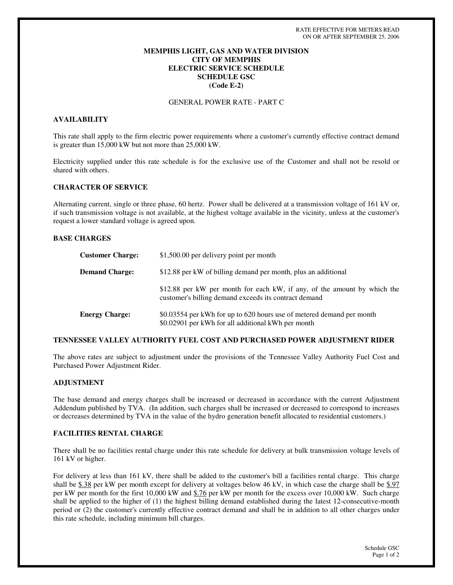## **MEMPHIS LIGHT, GAS AND WATER DIVISION CITY OF MEMPHIS ELECTRIC SERVICE SCHEDULE SCHEDULE GSC (Code E-2)**

GENERAL POWER RATE - PART C

# **AVAILABILITY**

This rate shall apply to the firm electric power requirements where a customer's currently effective contract demand is greater than 15,000 kW but not more than 25,000 kW.

Electricity supplied under this rate schedule is for the exclusive use of the Customer and shall not be resold or shared with others.

## **CHARACTER OF SERVICE**

Alternating current, single or three phase, 60 hertz. Power shall be delivered at a transmission voltage of 161 kV or, if such transmission voltage is not available, at the highest voltage available in the vicinity, unless at the customer's request a lower standard voltage is agreed upon.

### **BASE CHARGES**

| <b>Customer Charge:</b> | \$1,500.00 per delivery point per month                                                                                           |
|-------------------------|-----------------------------------------------------------------------------------------------------------------------------------|
| <b>Demand Charge:</b>   | \$12.88 per kW of billing demand per month, plus an additional                                                                    |
|                         | \$12.88 per kW per month for each kW, if any, of the amount by which the<br>customer's billing demand exceeds its contract demand |
| <b>Energy Charge:</b>   | \$0.03554 per kWh for up to 620 hours use of metered demand per month<br>\$0.02901 per kWh for all additional kWh per month       |

### **TENNESSEE VALLEY AUTHORITY FUEL COST AND PURCHASED POWER ADJUSTMENT RIDER**

The above rates are subject to adjustment under the provisions of the Tennessee Valley Authority Fuel Cost and Purchased Power Adjustment Rider.

## **ADJUSTMENT**

The base demand and energy charges shall be increased or decreased in accordance with the current Adjustment Addendum published by TVA. (In addition, such charges shall be increased or decreased to correspond to increases or decreases determined by TVA in the value of the hydro generation benefit allocated to residential customers.)

### **FACILITIES RENTAL CHARGE**

There shall be no facilities rental charge under this rate schedule for delivery at bulk transmission voltage levels of 161 kV or higher.

For delivery at less than 161 kV, there shall be added to the customer's bill a facilities rental charge. This charge shall be \$.38 per kW per month except for delivery at voltages below 46 kV, in which case the charge shall be \$.97 per kW per month for the first 10,000 kW and \$.76 per kW per month for the excess over 10,000 kW. Such charge shall be applied to the higher of (1) the highest billing demand established during the latest 12-consecutive-month period or (2) the customer's currently effective contract demand and shall be in addition to all other charges under this rate schedule, including minimum bill charges.